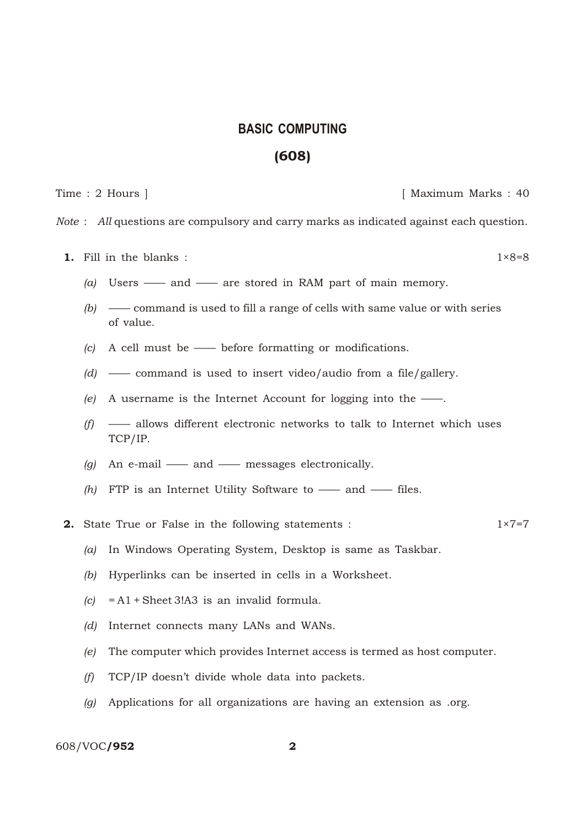## **BA SIC COMPUTING** (608)

Time : 2 Hours ] [ Maximum Marks : 40

*Note* : *All* questions are compulsory and carry marks as indicated against each question.

- **1.** Fill in the blanks :  $1 \times 8=8$ 
	-
	- *(a)* Users —— and —— are stored in RAM part of main memory.
	- *(b)* —— command is used to fill a range of cells with same value or with series of value.
	- *(c)* A cell must be —— before formatting or modifications.
	- *(d)* —— command is used to insert video/audio from a file/gallery.
	- *(e)* A username is the Internet Account for logging into the ——.
	- *(f)* —— allows different electronic networks to talk to Internet which uses TCP/IP.
	- *(g)* An e-mail —— and —— messages electronically.
	- *(h)* FTP is an Internet Utility Software to —— and —— files.
- **2.** State True or False in the following statements :  $1 \times 7 = 7$ 
	- *(a)* In Windows Operating System, Desktop is same as Taskbar.
	- *(b)* Hyperlinks can be inserted in cells in a Worksheet.
	- *(c)* = A1 + Sheet 3!A3 is an invalid formula.
	- *(d)* Internet connects many LANs and WANs.
	- *(e)* The computer which provides Internet access is termed as host computer.
	- *(f)* TCP/IP doesn't divide whole data into packets.
	- *(g)* Applications for all organizations are having an extension as .org.

## 608/VOC/952 2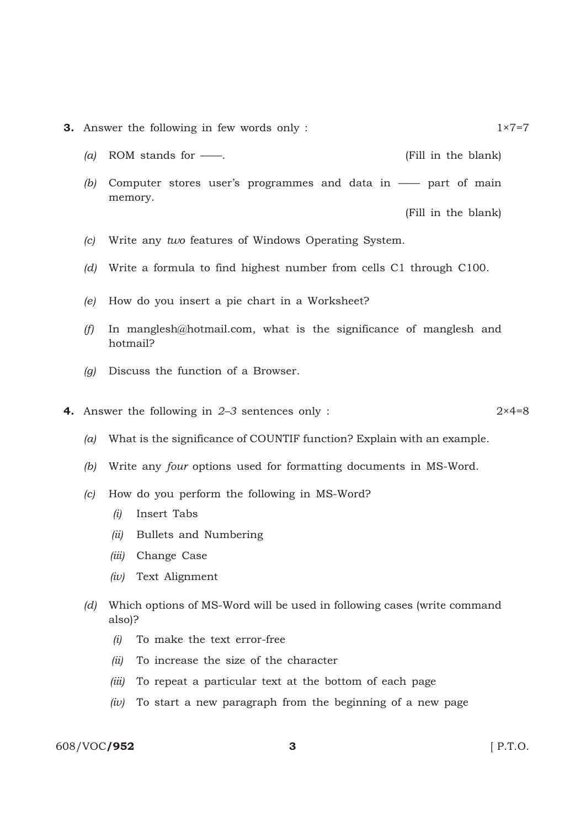- **3.** Answer the following in few words only : 1×7=7
	- *(a)* ROM stands for ——. (Fill in the blank)
	- *(b)* Computer stores user's programmes and data in —— part of main memory.

(Fill in the blank)

- *(c)* Write any *two* features of Windows Operating System.
- *(d)* Write a formula to find highest number from cells C1 through C100.
- *(e)* How do you insert a pie chart in a Worksheet?
- *(f)* In manglesh@hotmail.com, what is the significance of manglesh and hotmail?
- *(g)* Discuss the function of a Browser.
- 4. Answer the following in *2–3* sentences only : 2×4=8
	- *(a)* What is the significance of COUNTIF function? Explain with an example.
	- *(b)* Write any *four* options used for formatting documents in MS-Word.
	- *(c)* How do you perform the following in MS-Word?
		- *(i)* Insert Tabs
		- *(ii)* Bullets and Numbering
		- *(iii)* Change Case
		- *(iv)* Text Alignment
	- *(d)* Which options of MS-Word will be used in following cases (write command also)?
		- *(i)* To make the text error-free
		- *(ii)* To increase the size of the character
		- *(iii)* To repeat a particular text at the bottom of each page
		- *(iv)* To start a new paragraph from the beginning of a new page

## 608/VOC**/952** 3 [ P.T.O.